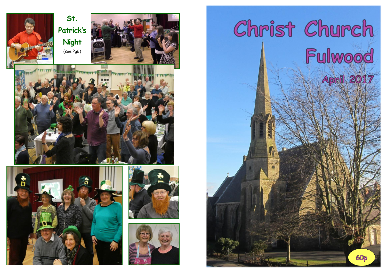



# Christ Church Fulwood April 2017

**60p**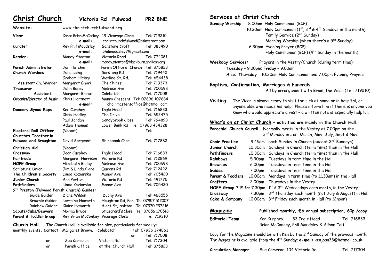**Christ Church Victoria Rd Fulwood PR2 8NE**

**Website:** www.christchurchfulwood.org **Vicar** Canon Brian McConkey 19 Vicarage Close Tel: 719210 **e**-**mail:** christchurchfulwood@btinternet.com **Curate:** Rev Phil Maudsley Garstone Croft Tel: 383490 **e**-**mail:** philmaudsley7@gmail.com **Reader:** Mandy Stanton Victoria Road Tel: 774081 **e**-**mail:** mandy.stanton@blackburn.anglican.org **Parish Administrator** Jan Fletcher Parish Office at Church Tel: 875823 **Church Wardens** Julia Laing Garstang Rd Tel: 719442 Graham Hickey Watling St. Rd. Tel: 654438 Assistant Ch. Warden Margaret Ghori The Chines Tel: 719373 **Treasurer John Bailey** Melrose Ave Tel: 700598 **- Assistant** Margaret Brown Colebatch Tel: 717008 **Organist/Director of Music** Chris Hartnett Munro Crescent Tel: 07896 107684 **e**-**mail:** [choirmastersoffice@hotmail.com](mailto:choirmastersoffice@hotmail.com) **Deanery Synod Reps** Ken Curphey Ingle Head Tel: 716833 Chris Hedley The Drive Tel: 652475 Paul Jordan Sandybrook Close Tel: 794893 Adam Thomas Lower Bank Rd Tel: 07968 434328 **Electoral Roll Officer** [Vacant] Tel: Tel: **Churches Together in Fulwood and Broughton** David Sergeant Shirebank Cres Tel: 717882 **Christian Aid** [Vacant] **Crossway** Joan Curphey Ingle Head Tel: 716833 **Fairtrade** Margaret Harrison Victoria Rd Tel: 712869 **HOPE Group** Elizabeth Bailey Melrose Ave Tel: 700598 **Scripture Union** Jim & Linda Clare Queens Rd Tel: 712422 **The Children's Society** Linda Koziarska Manor Ave Tel: 705420 **Junior Church** Ann Porter Victoria Rd Tel: 491775 **Pathfinders** Linda Koziarska Manor Ave Tel: 705420 **9 th Preston (Fulwood Parish Church) Guides:** Guide Guider Diane Wilson Duchy Ave Tel: 468555 Brownie Guider Lorraine Haworth Houghton Rd, Pen Tel: 07957 512007 Rainbow Guider Claire Haworth Alert St, Ashton Tel: 07970 297216 **Scouts/Cubs/Beavers** Norma Bruce St Leonard's Close Tel: 07856 170516 Parent & Toddler Group Rev Brian McConkey Vicarage Close Tel: 719210 **Church Hall** The Church Hall is available for hire, particularly for weekly/ monthly events**. Contact:** Margaret Brown, Colebatch Tel: 07926 374863 or Tel: 717008 or Sue Cameron Victoria Rd Tel: 717304 or Parish Office at the Church Hall Tel: 875823

### **Services at Christ Church**

**Sunday Worship** 8.00am Holy Communion (BCP) 10.30am Holy Communion ( $1<sup>st</sup>$ ,  $3<sup>rd</sup>$  &  $4<sup>th</sup>$  Sundays in the month) Family Service (2nd Sunday) Morning Worship (when there's a 5<sup>th</sup> Sunday) 6.30pm Evening Prayer (BCP) Holy Communion (BCP)  $(4^{th}$  Sunday in the month) **Weekday Services:** Prayers in the Vestry/Church (during term time): **Tuesday** – 9.00pm; **Friday** – 9.00am  **Also: Thursday** - 10:30am Holy Communion and 7.00pm Evening Prayers **Baptism, Confirmation, Marriages & Funerals** All by arrangement with Brian, the Vicar (Tel: 719210) **Visiting** The Vicar is always ready to visit the sick at home or in hospital, or anyone else who needs his help. Please inform him if there is anyone you know who would appreciate a visit – a written note is especially helpful. **What's on at Christ Church – activities are mainly in the Church Hall. Parochial Church Council** Normally meets in the Vestry at 7.00pm on the 3 3<sup>rd</sup> Monday in Jan, March, May, July, Sept & Nov. **Choir Practice** 9.45am each Sunday in Church (except 2nd Sundays) **Junior Church** 10.30am Sundays in Church (term time) then in the Hall **Pathfinders** 10.30am Sundays in Church (term time) then in the Hall **Rainbows** 5.30pm Tuesdays in term time in the Hall **Brownies** 6.00pm Tuesdays in term time in the Hall **Guides** 7.00pm Tuesdays in term time in the Hall **Parent & Toddlers** 10.00am Mondays in term time (to 11.30am) in the Hall **Crafters** 2.00pm Thursdays in the Vestry **HOPE Group** 7.15 for 7.30pm 1<sup>st</sup> & 3<sup>rd</sup> Wednesdays each month, in the Vestry **Crossway** 7.30pm 3 rd Thursday each month (not July & August) in Hall **Cake & Company** 10.00am 3<sup>rd</sup> Friday each month in Hall (to 12noon) **Magazine Published monthly, £6 annual subscription, 60p /copy Editorial Team** Ken Curphey, 33 Ingle Head Tel: 716833 Brian McConkey, Phil Maudsley & Alison Tait Copy for the Magazine should be with Ken by the  $2^{nd}$  Sunday of the previous month. The Magazine is available from the 4th Sunday; **e-mail:** kenjoan33@hotmail.co.uk

| <b>Circulation Manager</b> | Sue Cameron, 104 Victoria Rd | Tel: 717304 |
|----------------------------|------------------------------|-------------|
|----------------------------|------------------------------|-------------|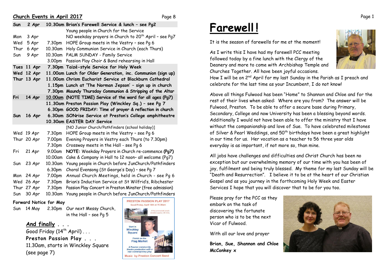### **Church Events in April 2017** Page 8

| Sun  | 2 Apr       |         | 10.30am Brian's Farewell Service & lunch - see Pg2<br>Young people in Church for the Service |
|------|-------------|---------|----------------------------------------------------------------------------------------------|
| Mon  | 3 Apr       |         | NO weekday prayers in Church to 20 <sup>th</sup> April - see Pg7                             |
| Wed  | 5 Apr       | 7.30pm  | HOPE Group meets in the Vestry - see Pg 6                                                    |
| Thur | 6 Apr       |         | 10.30am Holy Communion Service in Church (each Thurs)                                        |
| Sun  | 9 Apr       |         | 10.30am PALM SUNDAY - Family Service                                                         |
|      |             | 3.00pm  | Passion Play Choir & Band rehearsing in Hall                                                 |
|      | Tues 11 Apr |         | 7.30pm Taizé-style Service for Holy Week                                                     |
|      | Wed 12 Apr  |         | 11.00am Lunch for Older Generation, inc. Communion (sign up)                                 |
|      | Thur 13 Apr |         | 11.00am Chrism Eucharist Service at Blackburn Cathedral                                      |
|      |             |         | 1.15pm Lunch at 'The Norman Jepson' - sign up in church                                      |
|      |             |         | 7.30pm Maundy Thursday Communion & Stripping of the Altar                                    |
| Fri  | 14 Apr      |         | 10.00am (NOTE TIME) Service of the word for all ages (Pg7)                                   |
|      |             |         | 11.30am Preston Passion Play (Winckley Sq.) - see Pg 7                                       |
|      |             |         | 6.30pm GOOD FRIDAY: Time of prayer & reflection in church                                    |
| Sun  | 16 Apr      |         | 6.30am SONrise Service at Preston's College amphitheatre                                     |
|      |             |         | 10.30am EASTER DAY Service                                                                   |
|      |             |         | [NO Junior Church/Pathfinders (school holiday)]                                              |
|      | Wed 19 Apr  | 7.30pm  | HOPE Group meets in the Vestry - see Pg 6                                                    |
|      | Thur 20 Apr | 7.00pm  | Evening Prayers in Vestry each Thurs (to 7.30pm)                                             |
|      |             | 7.30pm  | Crossway meets in the Hall - see Pg 6                                                        |
| Fri  | 21 Apr      | 9.00am  | NOTE: Weekday Prayers in Church re-commence (Pg7)                                            |
|      |             | 10.00am | Cake & Company in Hall to 12 noon- all welcome (Pg7)                                         |
| Sun  | 23 Apr      | 10.30am | Young people in Church before JunChurch/Pathfinders                                          |
|      |             | 6.30pm  | Choral Evensong (St George's Day) - see Pg 7                                                 |
| Mon  | 24 Apr      | 7.00pm  | Annual Church Meetings, held in Church - see Pg 6                                            |
| Wed  | 26 Apr      | 7.30pm  | Brian's Induction Service at St Wilfrid's, Ribchester                                        |
|      | Thur 27 Apr | 7.30pm  | Passion Play Concert in Preston Minster (free admission)                                     |
| Sun  | 30 Apr      | 10.30am |                                                                                              |

### **Forward Notice for May**

Sun 14 May 2.30pm Our next Messy Church, in the Hall – see Pg 5

> **And finally . . .** Good Friday  $(14^{th}$  April) ... **Preston Passion Play . . .** 11.30am, starts in Winckley Square (see page 7)



# **Farewell !**

It is the season of farewells for me at the moment!

As I write this I have had my farewell PCC meeting followed today by a fine lunch with the Clergy of the Deanery and more to come with Archbishop Temple and Churches Together. All have been joyful occasions.



How I will be on 2<sup>nd</sup> April for my last Sunday in the Parish as I preach and celebrate for the last time as your Incumbent, I do not know!

Above all things Fulwood has been "Home" to Shannon and Chloe and for the rest of their lives when asked: Where are you from? The answer will be Fulwood, Preston. To be able to offer a secure base during Primary, Secondary, College and now University has been a blessing beyond words. Additionally I would not have been able to offer the ministry that I have without the companionship and love of Sue. To have celebrated milestones of Silver & Pearl Weddings, and 50<sup>th</sup> birthdays have been a great highlight in our time for us. Her vocation as a teacher to 56 three year olds everyday is as important, if not more so, than mine.

All jobs have challenges and difficulties and Christ Church has been no exception but our overwhelming memory of our time with you has been of joy, fulfilment and being truly blessed. My theme for my last Sunday will be "Death and Resurrection". I believe it to be at the heart of our Christian Gospel and as you journey in the forthcoming Holy Week and Easter Services I hope that you will discover that to be for you too.

Please pray for the PCC as they embark on the task of discovering the fortunate person who is to be the next Vicar of Fulwood.

With all our love and prayer

**Brian, Sue, Shannon and Chloe McConkey x**

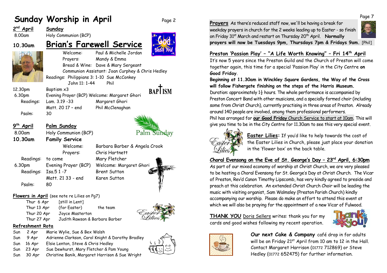## **Sunday Worship in April** Page 2

### **2 nd April Sunday**

8.00am Holy Communion (BCP)

## **10.30am Brian's Farewell Service**



Welcome: Paul & Michelle Jordan Prayers: Mandy & Emma Bread & Wine: Dave & Mary Sergeant Communion Assistant: Joan Curphey & Chris Hedley Readings: Philippians 3: 1-10 Sue McConkey John 11: 1-44 Phil

**BAPTISM** 

Palm Sunday

6.30pm Evening Prayer (BCP) Welcome: Margaret Ghori Readings: Lam. 3.19 -33 Margaret Ghori Psalm: 30

9<sup>th</sup> April

12.30pm Baptism x3

Matt. 2017 - end Phil McClenaghan

**Palm Sunday** 

8.00am Holy Communion (BCP) **10.30am Family Service**

Readings: to come Mary Fletcher 6.30pm Evening Prayer (BCP) Welcome: Margaret Ghori Readings: Isa.5 1 -7 Brent Sutton Matt. 21 33 - end Karen Sutton Psalm: 80



### **Flowers in April** (see note re Lilies on Pg7)

Thur 6 Apr [still in Lent] Thur 13 Apr (for Easter) the team Thur 20 Apr Joyce Masterton Thur 27 Apr Judith Rawson & Barbara Barber



Sun 2 Apr Marie Wylie, Sue & Bex Walsh Sun 9 Apr Adrienne Clarkson, Carol Knight & Dorothy Bradley Sun 16 Apr Elsie Lenton, Steve & Chris Hedley Sun 23 Apr Sue Dewhurst, Mary Fletcher & Pam Young Sun 30 Apr Christine Banik, Margaret Harrison & Sue Wright



**Prayers** As there's reduced staff now, we'll be having a break for weekday prayers in church for the 2 weeks leading up to Easter - so finish on Friday 31st March and restart on Thursday 20th April. **Normally** 



**prayers will now be Tuesdays 9pm, Thursdays 7pm & Fridays 9am.** [Phil]

### **Preston 'Passion Play' – "A Life Worth Knowing" – Fri 14th April**

It's now 5 years since the Preston Guild and the Church of Preston will come together again, this time for a special 'Passion Play' in the City Centre **on Good Friday**.

### **Beginning at 11.30am in Winckley Square Gardens, the Way of the Cross will follow Fishergate finishing on the steps of the Harris Museum.**

Duration: approximately  $1\frac{1}{2}$  hours. The whole performance is accompanied by Preston Concert Band with other musicians, and a specially formed choir (including some from Christ Church), currently practising in three areas of Preston. Already around 140 people are involved, among them professional performers.

Phil has arranged for **our Good Friday** Church Service to start at 10am. This will give you time to be in the City Centre for 11.30am to see this very special event.



**Easter Lilies:** If you'd like to help towards the cost of the Easter Lilies in Church, please just place your donation in the 'flower box' on the back table.

### **Choral Evensong on the Eve of St. George's Day – 23rd April, 6:30pm**

As part of our mixed economy of worship at Christ Church, we are very pleased to be hosting a Choral Evensong for St. George's Day at Christ Church. The Vicar of Preston, Rev'd Canon Timothy Lipscomb, has very kindly agreed to preside and preach at this celebration. An extended Christ Church Choir will be leading the music with visiting organist, Sam Walmsley (Preston Parish Church) kindly accompanying our worship. Please do make an effort to attend this event at which we will also be praying for the appointment of a new Vicar of Fulwood.

**THANK YOU** Doris Sellers writes: thank you for my cards and good wishes following my recent operation.





**Our next Cake & Company** café drop in for adults will be on Friday 21<sup>st</sup> April from 10 am to 12 in the Hall. Contact Margaret Harrison (01772 712869) or Steve Hedley (01772 652475) for further information.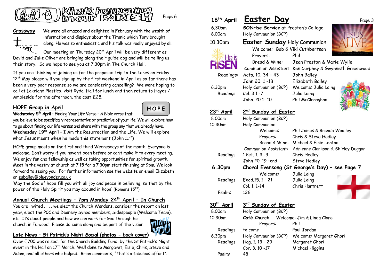

Page 6



**Crossway** We were all amazed and delighted in February with the wealth of information and displays about the Titanic which Tony brought along. He was so enthusiastic and his talk was really enjoyed by all.

Our meeting on Thursday  $20<sup>th</sup>$  April will be very different as David and Julie Oliver are bringing along their guide dog and will be telling us their story. So we hope to see you at 7.30pm in The Church Hall.

If you are thinking of joining us for the proposed trip to the Lakes on Friday 12<sup>th</sup> May please will you sign up by the first weekend in April as so far there has been a very poor response so we are considering cancelling? We were hoping to call at Lakeland Plastics, visit Rydal Hall for lunch and then return to Hayes / Ambleside for the afternoon, the cost £25.

### **HOPE Group in April**



**Wednesday 5th April** – Finding Your Life Verse – [A Bible](http://www.biblestudytools.com/) verse that you believe to be specifically representative or predictive of your life. We will explore how to go about finding our life verses and share with the group any that we already have. **Wednesday 19 th April** – I Am the Resurrection and the Life. We will explore what Jesus meant when he made this statement (John  $11^{25}$ )

HOPE group meets on the first and third Wednesdays of the month. Everyone is welcome. Don't worry if you haven't been before or can't make it to every meeting. We enjoy fun and fellowship as well as taking opportunities for spiritual growth. Meet in the vestry at church at 7.15 for a 7.30pm start finishing at 9pm. We look forward to seeing you. For further information see the website or email Elizabeth o[n eabailey@blueyonder.co.uk](mailto:eabailey@blueyonder.co.uk)

'May the God of hope fill you with all joy and peace in believing, so that by the power of the Holy Spirit you may abound in hope' (Romans 15<sup>13</sup>)

### **Annual Church Meetings – 7pm Monday 24th April – In Church**

You are invited . . . . we elect the Church Wardens, consider the report on last year, elect the PCC and Deanery Synod members, Sidespeople (Welcome Team),

etc. It's about people and how we can work for God through his church in Fulwood. Please do come along and be part of the vision.



### **Late News – St Patrick's Night Social (photos - back cover)**

Over £700 was raised, for the Church Building Fund, by the St Patrick's Night event in the Hall on 17<sup>th</sup> March. Well done to Margaret, Elsie, Chris, Steve and Adam, and all others who helped. Brian comments, "That's a fabulous effort".

| 16 <sup>th</sup> April | <u>Easter Day</u>                              | Page 3                                                |  |  |
|------------------------|------------------------------------------------|-------------------------------------------------------|--|--|
| 6.30am                 | <b>SONrise Service at Preston's College</b>    |                                                       |  |  |
| 8.00am                 | Holy Communion (BCP)                           |                                                       |  |  |
| 10.30am                | Easter Sunday Holy Communion                   |                                                       |  |  |
|                        | Welcome: Bob & Viki Cuthbertson                |                                                       |  |  |
| te is                  | Prayers:                                       | Phil                                                  |  |  |
|                        | Bread & Wine:                                  | Jean Preston & Marie Wylie                            |  |  |
|                        |                                                | Communion Assistant: Ken Curphey & Gwynneth Greenwood |  |  |
| Readings:              | Acts. 10. 34 - 43                              | John Bailey                                           |  |  |
|                        | John 20, 1-18                                  | Elizabeth Bailey                                      |  |  |
| 6.30pm                 | Holy Communion (BCP)                           | Welcome: Julia Laing                                  |  |  |
| Readings:              | Col. 3 1 -7                                    | Julia Laing                                           |  |  |
|                        | John. 20 1-10                                  | Phil McClenaghan                                      |  |  |
|                        |                                                |                                                       |  |  |
| 23rd April             | 2 <sup>nd</sup> Sunday of Easter               |                                                       |  |  |
| 8.00am                 | Holy Communion (BCP)                           |                                                       |  |  |
| 10.30am                | Holy Communion<br>Welcome:                     |                                                       |  |  |
|                        | Prayers:                                       | Phil James & Brenda Woolley<br>Chris & Steve Hedley   |  |  |
|                        |                                                | Bread & Wine: Michael & Elsie Lenton                  |  |  |
|                        | <b>Communion Assistant:</b>                    | Adrienne Clarkson & Shirley Duggan                    |  |  |
| Readings:              | 1 Pet. 1. 3 -9                                 | Chris Hedley                                          |  |  |
|                        | John 20. 19 - end                              | Steve Hedley                                          |  |  |
| 6.30pm                 | Choral Evensong (St George's Day) - see Page 7 |                                                       |  |  |
|                        | Welcome:                                       | Julia Laing                                           |  |  |
| Readings:              | Exod.15, 1 - 21                                | Julia Laing                                           |  |  |
|                        | Col. 1. 1-14                                   | Chris Hartnett                                        |  |  |
| Psalm:                 | 126                                            |                                                       |  |  |
| 30 <sup>th</sup> April | 3rd Sunday of Easter                           |                                                       |  |  |
| 8.00am                 | Holy Communion (BCP)                           |                                                       |  |  |
| 10.30am                | Café Church<br>Welcome: Jim & Linda Clare      |                                                       |  |  |
|                        | Prayers:                                       | Phil                                                  |  |  |
| Readings:              | to come                                        | Paul Jordan                                           |  |  |
| 6.30pm                 | Holy Communion (BCP)                           | Welcome: Margaret Ghori                               |  |  |
| Readings:              | Hag. 1. 13 - 29                                | Margaret Ghori                                        |  |  |
|                        | Cor. 3. 10 -17                                 | Michael Higgins                                       |  |  |

Psalm: 48